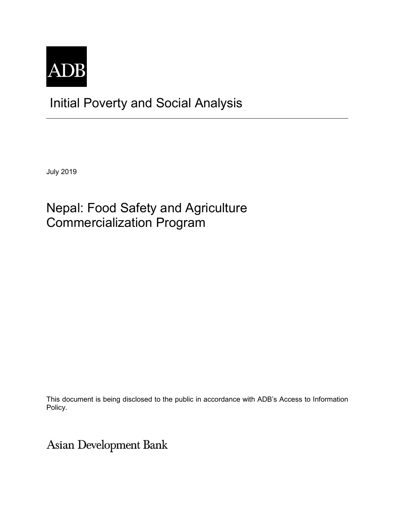

# Initial Poverty and Social Analysis

July 2019

# Nepal: Food Safety and Agriculture Commercialization Program

This document is being disclosed to the public in accordance with ADB's Access to Information Policy.

Asian Development Bank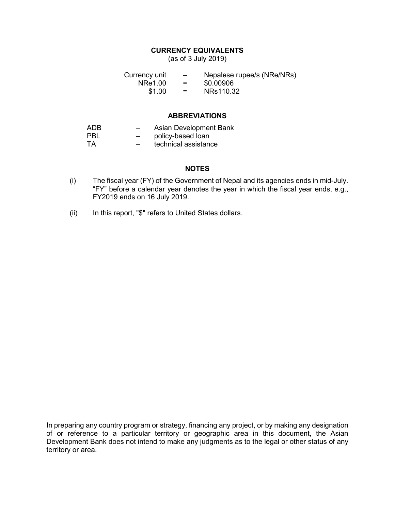## **CURRENCY EQUIVALENTS**

(as of 3 July 2019)

Currency unit  $-$  Nepalese rupee/s (NRe/NRs)<br>NRe1.00 =  $$0.00906$  $NRe1.00 =$ <br>\$1.00 =  $$1.00 = NRs110.32$ 

### **ABBREVIATIONS**

| ADB  | $\overline{\phantom{0}}$ | Asian Development Bank |
|------|--------------------------|------------------------|
| PBI. | $-$                      | policy-based loan      |
| TA.  | $\overline{\phantom{0}}$ | technical assistance   |

### **NOTES**

- (i) The fiscal year (FY) of the Government of Nepal and its agencies ends in mid-July. "FY" before a calendar year denotes the year in which the fiscal year ends, e.g., FY2019 ends on 16 July 2019.
- (ii) In this report, "\$" refers to United States dollars.

In preparing any country program or strategy, financing any project, or by making any designation of or reference to a particular territory or geographic area in this document, the Asian Development Bank does not intend to make any judgments as to the legal or other status of any territory or area.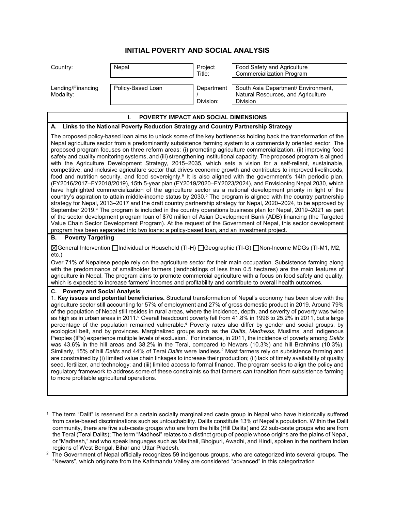# **INITIAL POVERTY AND SOCIAL ANALYSIS**

| Country:                       | Nepal             | Project<br>Title:       | <b>Food Safety and Agriculture</b><br><b>Commercialization Program</b>                |
|--------------------------------|-------------------|-------------------------|---------------------------------------------------------------------------------------|
| Lending/Financing<br>Modality: | Policy-Based Loan | Department<br>Division: | South Asia Department/ Environment,<br>Natural Resources, and Agriculture<br>Division |

#### **I. POVERTY IMPACT AND SOCIAL DIMENSIONS**

#### **A. Links to the National Poverty Reduction Strategy and Country Partnership Strategy**

The proposed policy-based loan aims to unlock some of the key bottlenecks holding back the transformation of the Nepal agriculture sector from a predominantly subsistence farming system to a commercially oriented sector. The proposed program focuses on three reform areas: (i) promoting agriculture commercialization, (ii) improving food safety and quality monitoring systems, and (iii) strengthening institutional capacity. The proposed program is aligned with the Agriculture Development Strategy, 2015–2035, which sets a vision for a self-reliant, sustainable, competitive, and inclusive agriculture sector that drives economic growth and contributes to improved livelihoods, food and nutrition security, and food sovereignty.<sup>a</sup> It is also aligned with the government's 14th periodic plan, (FY2016/2017–FY2018/2019), 15th 5-year plan (FY2019/2020‒FY2023/2024), and Envisioning Nepal 2030, which have highlighted commercialization of the agriculture sector as a national development priority in light of the country's aspiration to attain middle-income status by 2030.<sup>b</sup> The program is aligned with the country partnership strategy for Nepal, 2013–2017 and the draft country partnership strategy for Nepal, 2020–2024, to be approved by September 2019.<sup>c</sup> The program is included in the country operations business plan for Nepal, 2019–2021 as part of the sector development program loan of \$70 million of Asian Development Bank (ADB) financing (the Targeted Value Chain Sector Development Program). At the request of the Government of Nepal, this sector development program has been separated into two loans: a policy-based loan, and an investment project.

#### **B. Poverty Targeting**

-

⊠General Intervention **Individual or Household (TI-H)** IGeographic (TI-G) INon-Income MDGs (TI-M1, M2, etc.)

Over 71% of Nepalese people rely on the agriculture sector for their main occupation. Subsistence farming along with the predominance of smallholder farmers (landholdings of less than 0.5 hectares) are the main features of agriculture in Nepal. The program aims to promote commercial agriculture with a focus on food safety and quality, which is expected to increase farmers' incomes and profitability and contribute to overall health outcomes.

#### **C. Poverty and Social Analysis**

1. **Key issues and potential beneficiaries.** Structural transformation of Nepal's economy has been slow with the agriculture sector still accounting for 57% of employment and 27% of gross domestic product in 2019. Around 79% of the population of Nepal still resides in rural areas, where the incidence, depth, and severity of poverty was twice as high as in urban areas in 2011.<sup>d</sup> Overall headcount poverty fell from 41.8% in 1996 to 25.2% in 2011, but a large percentage of the population remained vulnerable.<sup>e</sup> Poverty rates also differ by gender and social groups, by ecological belt, and by provinces. Marginalized groups such as the *Dalits*, *Madhesis*, Muslims, and Indigenous Peoples (IPs) experience multiple levels of exclusion.<sup>1</sup> For instance, in 2011, the incidence of poverty among *Dalits* was 43.6% in the hill areas and 38.2% in the Terai, compared to Newars (10.3%) and hill Brahmins (10.3%). Similarly, 15% of hill *Dalits* and 44% of Terai *Dalits* were landless.<sup>2</sup> Most farmers rely on subsistence farming and are constrained by (i) limited value chain linkages to increase their production; (ii) lack of timely availability of quality seed, fertilizer, and technology; and (iii) limited access to formal finance. The program seeks to align the policy and regulatory framework to address some of these constraints so that farmers can transition from subsistence farming to more profitable agricultural operations.

<sup>1</sup> The term "Dalit" is reserved for a certain socially marginalized caste group in Nepal who have historically suffered from caste-based discriminations such as untouchability. Dalits constitute 13% of Nepal's population. Within the Dalit community, there are five sub-caste groups who are from the hills (Hill Dalits) and 22 sub-caste groups who are from the Terai (Terai Dalits); The term "Madhesi" relates to a distinct group of people whose origins are the plains of Nepal, or "Madhesh," and who speak languages such as Maithali, Bhojpuri, Awadhi, and Hindi, spoken in the northern Indian regions of West Bengal, Bihar and Uttar Pradesh.

 $^2\,$  The Government of Nepal officially recognizes 59 indigenous groups, who are categorized into several groups. The "Newars", which originate from the Kathmandu Valley are considered "advanced" in this categorization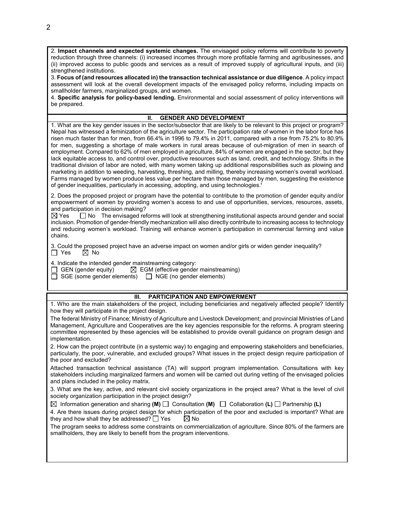2. **Impact channels and expected systemic changes.** The envisaged policy reforms will contribute to poverty reduction through three channels: (i) increased incomes through more profitable farming and agribusinesses, and (ii) improved access to public goods and services as a result of improved supply of agricultural inputs, and (iii) strengthened institutions.

3. **Focus of (and resources allocated in) the transaction technical assistance or due diligence**. A policy impact assessment will look at the overall development impacts of the envisaged policy reforms, including impacts on smallholder farmers, marginalized groups, and women.

4. **Specific analysis for policy-based lending.** Environmental and social assessment of policy interventions will be prepared.

#### **II. GENDER AND DEVELOPMENT**

1. What are the key gender issues in the sector/subsector that are likely to be relevant to this project or program? Nepal has witnessed a feminization of the agriculture sector. The participation rate of women in the labor force has risen much faster than for men, from 66.4% in 1996 to 79.4% in 2011, compared with a rise from 75.2% to 80.9% for men, suggesting a shortage of male workers in rural areas because of out-migration of men in search of employment. Compared to 62% of men employed in agriculture, 84% of women are engaged in the sector, but they lack equitable access to, and control over, productive resources such as land, credit, and technology. Shifts in the traditional division of labor are noted, with many women taking up additional responsibilities such as plowing and marketing in addition to weeding, harvesting, threshing, and milling, thereby increasing women's overall workload. Farms managed by women produce less value per hectare than those managed by men, suggesting the existence of gender inequalities, particularly in accessing, adopting, and using technologies.<sup>f</sup>

2. Does the proposed project or program have the potential to contribute to the promotion of gender equity and/or empowerment of women by providing women's access to and use of opportunities, services, resources, assets, and participation in decision making?

 $\boxtimes$  Yes  $\Box$  No The envisaged reforms will look at strengthening institutional aspects around gender and social inclusion. Promotion of gender-friendly mechanization will also directly contribute to increasing access to technology and reducing women's workload. Training will enhance women's participation in commercial farming and value chains.

3. Could the proposed project have an adverse impact on women and/or girls or widen gender inequality?<br> $\Box$  Yes  $\Box$  No  $\boxtimes$  No

4. Indicate the intended gender mainstreaming category:<br>  $\Box$  GEN (gender equity)  $\Box$  EGM (effective gender

 $\boxtimes$  EGM (effective gender mainstreaming)

 $\Box$  SGE (some gender elements)  $\Box$  NGE (no gender elements)

#### **III. PARTICIPATION AND EMPOWERMENT**

1. Who are the main stakeholders of the project, including beneficiaries and negatively affected people? Identify how they will participate in the project design.

The federal Ministry of Finance; Ministry of Agriculture and Livestock Development; and provincial Ministries of Land Management, Agriculture and Cooperatives are the key agencies responsible for the reforms. A program steering committee represented by these agencies will be established to provide overall guidance on program design and implementation.

2. How can the project contribute (in a systemic way) to engaging and empowering stakeholders and beneficiaries, particularly, the poor, vulnerable, and excluded groups? What issues in the project design require participation of the poor and excluded?

Attached transaction technical assistance (TA) will support program implementation. Consultations with key stakeholders including marginalized farmers and women will be carried out during vetting of the envisaged policies and plans included in the policy matrix.

3. What are the key, active, and relevant civil society organizations in the project area? What is the level of civil society organization participation in the project design?

Information generation and sharing **(M)** Consultation **(M)** Collaboration **(L)** Partnership **(L)**

4. Are there issues during project design for which participation of the poor and excluded is important? What are they and how shall they be addressed?  $\Box$  Yes  $\Box$  No they and how shall they be addressed?  $\Box$  Yes

The program seeks to address some constraints on commercialization of agriculture. Since 80% of the farmers are smallholders, they are likely to benefit from the program interventions.